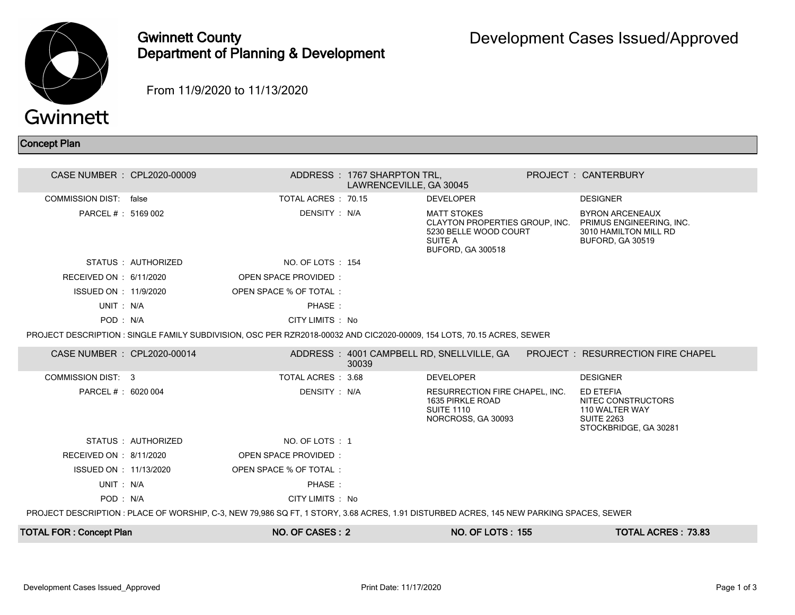

## Gwinnett County Department of Planning & Development

From 11/9/2020 to 11/13/2020

## Concept Plan

| CASE NUMBER : CPL2020-00009    |                     |                                                                                                                                         | ADDRESS: 1767 SHARPTON TRL,<br>LAWRENCEVILLE, GA 30045 |                                                                                               | <b>PROJECT: CANTERBURY</b>                                                                                                     |  |
|--------------------------------|---------------------|-----------------------------------------------------------------------------------------------------------------------------------------|--------------------------------------------------------|-----------------------------------------------------------------------------------------------|--------------------------------------------------------------------------------------------------------------------------------|--|
| COMMISSION DIST: false         |                     | TOTAL ACRES: 70.15                                                                                                                      |                                                        | <b>DEVELOPER</b>                                                                              | <b>DESIGNER</b>                                                                                                                |  |
| PARCEL # : 5169 002            |                     | DENSITY: N/A                                                                                                                            |                                                        | <b>MATT STOKES</b><br>5230 BELLE WOOD COURT<br><b>SUITE A</b><br><b>BUFORD, GA 300518</b>     | <b>BYRON ARCENEAUX</b><br>CLAYTON PROPERTIES GROUP, INC. PRIMUS ENGINEERING, INC.<br>3010 HAMILTON MILL RD<br>BUFORD, GA 30519 |  |
|                                | STATUS : AUTHORIZED | NO. OF LOTS: 154                                                                                                                        |                                                        |                                                                                               |                                                                                                                                |  |
| RECEIVED ON : 6/11/2020        |                     | OPEN SPACE PROVIDED:                                                                                                                    |                                                        |                                                                                               |                                                                                                                                |  |
| ISSUED ON : 11/9/2020          |                     | OPEN SPACE % OF TOTAL:                                                                                                                  |                                                        |                                                                                               |                                                                                                                                |  |
| UNIT: N/A                      |                     | PHASE:                                                                                                                                  |                                                        |                                                                                               |                                                                                                                                |  |
| POD: N/A                       |                     | CITY LIMITS : No                                                                                                                        |                                                        |                                                                                               |                                                                                                                                |  |
|                                |                     | PROJECT DESCRIPTION : SINGLE FAMILY SUBDIVISION, OSC PER RZR2018-00032 AND CIC2020-00009, 154 LOTS, 70.15 ACRES, SEWER                  |                                                        |                                                                                               |                                                                                                                                |  |
| CASE NUMBER : CPL2020-00014    |                     |                                                                                                                                         | 30039                                                  | ADDRESS: 4001 CAMPBELL RD, SNELLVILLE, GA                                                     | <b>PROJECT : RESURRECTION FIRE CHAPEL</b>                                                                                      |  |
| COMMISSION DIST: 3             |                     | TOTAL ACRES : 3.68                                                                                                                      |                                                        | <b>DEVELOPER</b>                                                                              | <b>DESIGNER</b>                                                                                                                |  |
| PARCEL # : 6020 004            |                     | DENSITY : N/A                                                                                                                           |                                                        | RESURRECTION FIRE CHAPEL, INC.<br>1635 PIRKLE ROAD<br><b>SUITE 1110</b><br>NORCROSS, GA 30093 | ED ETEFIA<br>NITEC CONSTRUCTORS<br>110 WALTER WAY<br><b>SUITE 2263</b><br>STOCKBRIDGE, GA 30281                                |  |
|                                | STATUS : AUTHORIZED | NO. OF LOTS : 1                                                                                                                         |                                                        |                                                                                               |                                                                                                                                |  |
| RECEIVED ON : 8/11/2020        |                     | OPEN SPACE PROVIDED:                                                                                                                    |                                                        |                                                                                               |                                                                                                                                |  |
| ISSUED ON : 11/13/2020         |                     | OPEN SPACE % OF TOTAL:                                                                                                                  |                                                        |                                                                                               |                                                                                                                                |  |
| UNIT: N/A                      |                     | PHASE:                                                                                                                                  |                                                        |                                                                                               |                                                                                                                                |  |
| POD: N/A                       |                     | CITY LIMITS : No                                                                                                                        |                                                        |                                                                                               |                                                                                                                                |  |
|                                |                     | PROJECT DESCRIPTION : PLACE OF WORSHIP, C-3, NEW 79,986 SQ FT, 1 STORY, 3.68 ACRES, 1.91 DISTURBED ACRES, 145 NEW PARKING SPACES, SEWER |                                                        |                                                                                               |                                                                                                                                |  |
| <b>TOTAL FOR: Concept Plan</b> |                     | NO. OF CASES: 2                                                                                                                         |                                                        | <b>NO. OF LOTS: 155</b>                                                                       | <b>TOTAL ACRES: 73.83</b>                                                                                                      |  |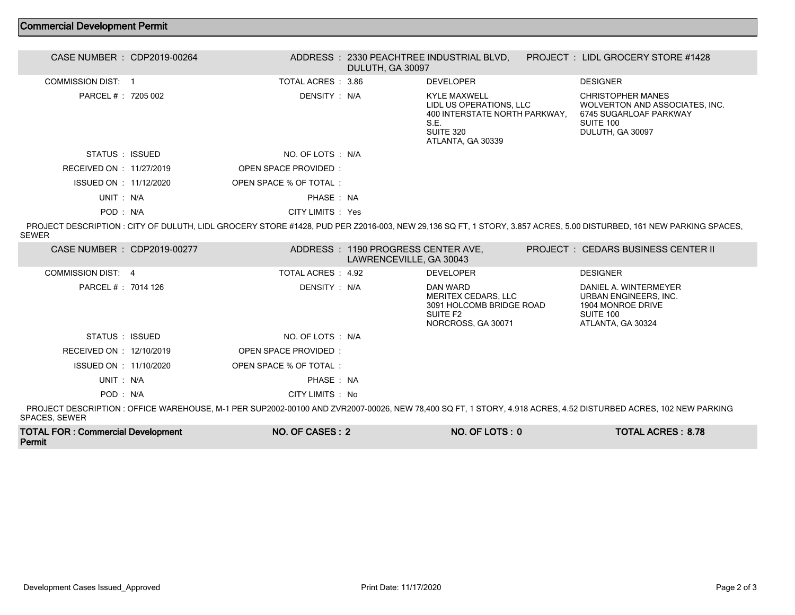## Commercial Development Permit

| CASE NUMBER : CDP2019-00264 | ADDRESS: 2330 PEACHTREE INDUSTRIAL BLVD.<br>DULUTH, GA 30097 |                                                                                                                           | PROJECT: LIDL GROCERY STORE #1428                                                                                     |
|-----------------------------|--------------------------------------------------------------|---------------------------------------------------------------------------------------------------------------------------|-----------------------------------------------------------------------------------------------------------------------|
| COMMISSION DIST: 1          | TOTAL ACRES : 3.86                                           | <b>DEVELOPER</b>                                                                                                          | <b>DESIGNER</b>                                                                                                       |
| PARCEL #: 7205 002          | DENSITY : N/A                                                | <b>KYLE MAXWELL</b><br>LIDL US OPERATIONS, LLC<br>400 INTERSTATE NORTH PARKWAY,<br>S.E.<br>SUITE 320<br>ATLANTA, GA 30339 | <b>CHRISTOPHER MANES</b><br>WOLVERTON AND ASSOCIATES, INC.<br>6745 SUGARLOAF PARKWAY<br>SUITE 100<br>DULUTH, GA 30097 |
| STATUS ISSUED               | NO. OF LOTS : N/A                                            |                                                                                                                           |                                                                                                                       |
| RECEIVED ON : 11/27/2019    | OPEN SPACE PROVIDED:                                         |                                                                                                                           |                                                                                                                       |
| ISSUED ON : 11/12/2020      | OPEN SPACE % OF TOTAL                                        |                                                                                                                           |                                                                                                                       |
| UNIT: N/A                   | PHASE: NA                                                    |                                                                                                                           |                                                                                                                       |
| POD: N/A                    | CITY LIMITS : Yes                                            |                                                                                                                           |                                                                                                                       |

 PROJECT DESCRIPTION : CITY OF DULUTH, LIDL GROCERY STORE #1428, PUD PER Z2016-003, NEW 29,136 SQ FT, 1 STORY, 3.857 ACRES, 5.00 DISTURBED, 161 NEW PARKING SPACES, SEWER

| CASE NUMBER : CDP2019-00277 |                        | ADDRESS : 1190 PROGRESS CENTER AVE,<br>LAWRENCEVILLE, GA 30043 |                                                                                               | <b>PROJECT : CEDARS BUSINESS CENTER II</b>                                                                                                               |
|-----------------------------|------------------------|----------------------------------------------------------------|-----------------------------------------------------------------------------------------------|----------------------------------------------------------------------------------------------------------------------------------------------------------|
| COMMISSION DIST: 4          | TOTAL ACRES : 4.92     |                                                                | <b>DEVELOPER</b>                                                                              | <b>DESIGNER</b>                                                                                                                                          |
| PARCEL # : 7014 126         | DENSITY : N/A          |                                                                | DAN WARD<br>MERITEX CEDARS, LLC<br>3091 HOLCOMB BRIDGE ROAD<br>SUITE F2<br>NORCROSS, GA 30071 | DANIEL A. WINTERMEYER<br>URBAN ENGINEERS, INC.<br>1904 MONROE DRIVE<br>SUITE 100<br>ATLANTA, GA 30324                                                    |
| STATUS : ISSUED             | NO. OF LOTS : N/A      |                                                                |                                                                                               |                                                                                                                                                          |
| RECEIVED ON : 12/10/2019    | OPEN SPACE PROVIDED    |                                                                |                                                                                               |                                                                                                                                                          |
| ISSUED ON : 11/10/2020      | OPEN SPACE % OF TOTAL: |                                                                |                                                                                               |                                                                                                                                                          |
| UNIT: N/A                   | PHASE: NA              |                                                                |                                                                                               |                                                                                                                                                          |
| POD : N/A                   | CITY LIMITS : No       |                                                                |                                                                                               |                                                                                                                                                          |
|                             |                        |                                                                |                                                                                               | PRO IEOT REGORIATION. OEEIOE WAREHOUGE N 4 BER OURGOO GOJAS AND TURGOOT GOGAS NEW TO JOS OO ET 4 GEORU J AJA AOREO. J EG RIGTURRER AOREO. JAS NEW BARUNA |

 PROJECT DESCRIPTION : OFFICE WAREHOUSE, M-1 PER SUP2002-00100 AND ZVR2007-00026, NEW 78,400 SQ FT, 1 STORY, 4.918 ACRES, 4.52 DISTURBED ACRES, 102 NEW PARKING SPACES, SEWER

| <b>TOTAL FOR: Commercial Development</b> | NO. OF CASES: 2 | NO. OF LOTS: 0 | <b>TOTAL ACRES: 8.78</b> |
|------------------------------------------|-----------------|----------------|--------------------------|
| Permit                                   |                 |                |                          |